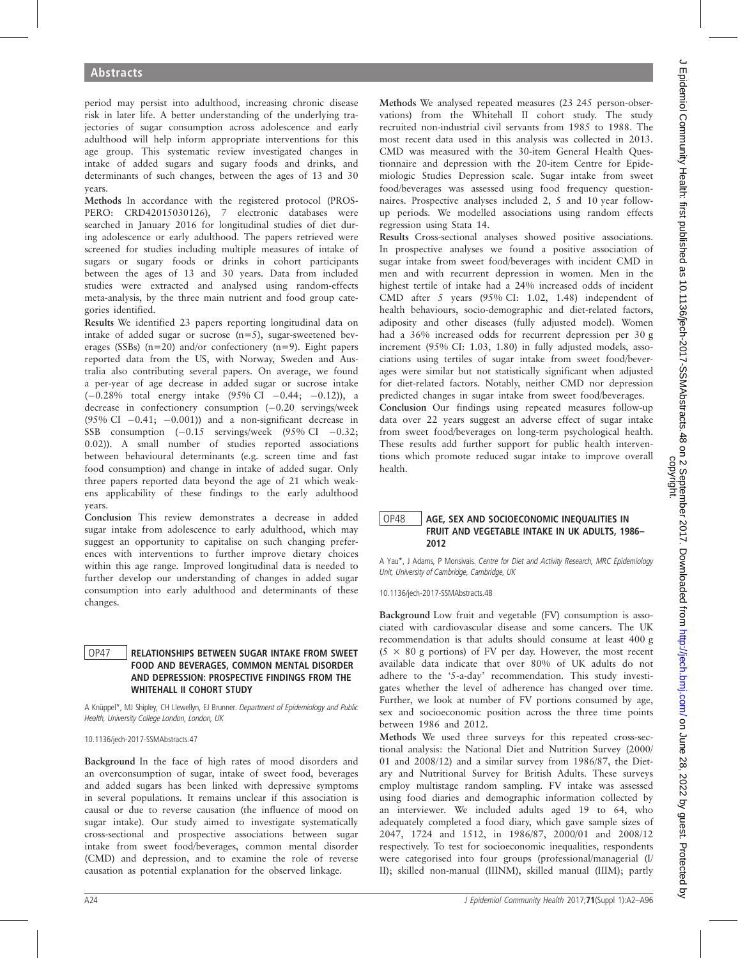period may persist into adulthood, increasing chronic disease risk in later life. A better understanding of the underlying trajectories of sugar consumption across adolescence and early adulthood will help inform appropriate interventions for this age group. This systematic review investigated changes in intake of added sugars and sugary foods and drinks, and determinants of such changes, between the ages of 13 and 30 years.

Methods In accordance with the registered protocol (PROS-PERO: CRD42015030126), 7 electronic databases were searched in January 2016 for longitudinal studies of diet during adolescence or early adulthood. The papers retrieved were screened for studies including multiple measures of intake of sugars or sugary foods or drinks in cohort participants between the ages of 13 and 30 years. Data from included studies were extracted and analysed using random-effects meta-analysis, by the three main nutrient and food group categories identified.

Results We identified 23 papers reporting longitudinal data on intake of added sugar or sucrose (n=5), sugar-sweetened beverages (SSBs) (n=20) and/or confectionery (n=9). Eight papers reported data from the US, with Norway, Sweden and Australia also contributing several papers. On average, we found a per-year of age decrease in added sugar or sucrose intake  $(-0.28\%$  total energy intake  $(95\%$  CI  $-0.44; -0.12)$ ), a decrease in confectionery consumption  $(-0.20 \text{ serving}$ s/week  $(95\% \text{ CI } -0.41; -0.001)$  and a non-significant decrease in SSB consumption  $(-0.15$  servings/week  $(95\% \text{ CI} -0.32)$ ; 0.02)). A small number of studies reported associations between behavioural determinants (e.g. screen time and fast food consumption) and change in intake of added sugar. Only three papers reported data beyond the age of 21 which weakens applicability of these findings to the early adulthood years.

Conclusion This review demonstrates a decrease in added sugar intake from adolescence to early adulthood, which may suggest an opportunity to capitalise on such changing preferences with interventions to further improve dietary choices within this age range. Improved longitudinal data is needed to further develop our understanding of changes in added sugar consumption into early adulthood and determinants of these changes.

### OP47 RELATIONSHIPS BETWEEN SUGAR INTAKE FROM SWEET FOOD AND BEVERAGES, COMMON MENTAL DISORDER AND DEPRESSION: PROSPECTIVE FINDINGS FROM THE WHITEHALL II COHORT STUDY

A Knüppel\*, MJ Shipley, CH Llewellyn, EJ Brunner. Department of Epidemiology and Public Health, University College London, London, UK

10.1136/jech-2017-SSMAbstracts.47

Background In the face of high rates of mood disorders and an overconsumption of sugar, intake of sweet food, beverages and added sugars has been linked with depressive symptoms in several populations. It remains unclear if this association is causal or due to reverse causation (the influence of mood on sugar intake). Our study aimed to investigate systematically cross-sectional and prospective associations between sugar intake from sweet food/beverages, common mental disorder (CMD) and depression, and to examine the role of reverse causation as potential explanation for the observed linkage.

Methods We analysed repeated measures (23 245 person-observations) from the Whitehall II cohort study. The study recruited non-industrial civil servants from 1985 to 1988. The most recent data used in this analysis was collected in 2013. CMD was measured with the 30-item General Health Questionnaire and depression with the 20-item Centre for Epidemiologic Studies Depression scale. Sugar intake from sweet food/beverages was assessed using food frequency questionnaires. Prospective analyses included 2, 5 and 10 year followup periods. We modelled associations using random effects regression using Stata 14.

Results Cross-sectional analyses showed positive associations. In prospective analyses we found a positive association of sugar intake from sweet food/beverages with incident CMD in men and with recurrent depression in women. Men in the highest tertile of intake had a 24% increased odds of incident CMD after 5 years (95% CI: 1.02, 1.48) independent of health behaviours, socio-demographic and diet-related factors, adiposity and other diseases (fully adjusted model). Women had a 36% increased odds for recurrent depression per 30 g increment (95% CI: 1.03, 1.80) in fully adjusted models, associations using tertiles of sugar intake from sweet food/beverages were similar but not statistically significant when adjusted for diet-related factors. Notably, neither CMD nor depression predicted changes in sugar intake from sweet food/beverages.

Conclusion Our findings using repeated measures follow-up data over 22 years suggest an adverse effect of sugar intake from sweet food/beverages on long-term psychological health. These results add further support for public health interventions which promote reduced sugar intake to improve overall health.

## OP48 | AGE, SEX AND SOCIOECONOMIC INEQUALITIES IN FRUIT AND VEGETABLE INTAKE IN UK ADULTS, 1986– 2012

A Yau\*, J Adams, P Monsivais. Centre for Diet and Activity Research, MRC Epidemiology Unit, University of Cambridge, Cambridge, UK

10.1136/jech-2017-SSMAbstracts.48

Background Low fruit and vegetable (FV) consumption is associated with cardiovascular disease and some cancers. The UK recommendation is that adults should consume at least 400 g  $(5 \times 80$  g portions) of FV per day. However, the most recent available data indicate that over 80% of UK adults do not adhere to the '5-a-day' recommendation. This study investigates whether the level of adherence has changed over time. Further, we look at number of FV portions consumed by age, sex and socioeconomic position across the three time points between 1986 and 2012.

Methods We used three surveys for this repeated cross-sectional analysis: the National Diet and Nutrition Survey (2000/ 01 and 2008/12) and a similar survey from 1986/87, the Dietary and Nutritional Survey for British Adults. These surveys employ multistage random sampling. FV intake was assessed using food diaries and demographic information collected by an interviewer. We included adults aged 19 to 64, who adequately completed a food diary, which gave sample sizes of 2047, 1724 and 1512, in 1986/87, 2000/01 and 2008/12 respectively. To test for socioeconomic inequalities, respondents were categorised into four groups (professional/managerial (I/ II); skilled non-manual (IIINM), skilled manual (IIIM); partly